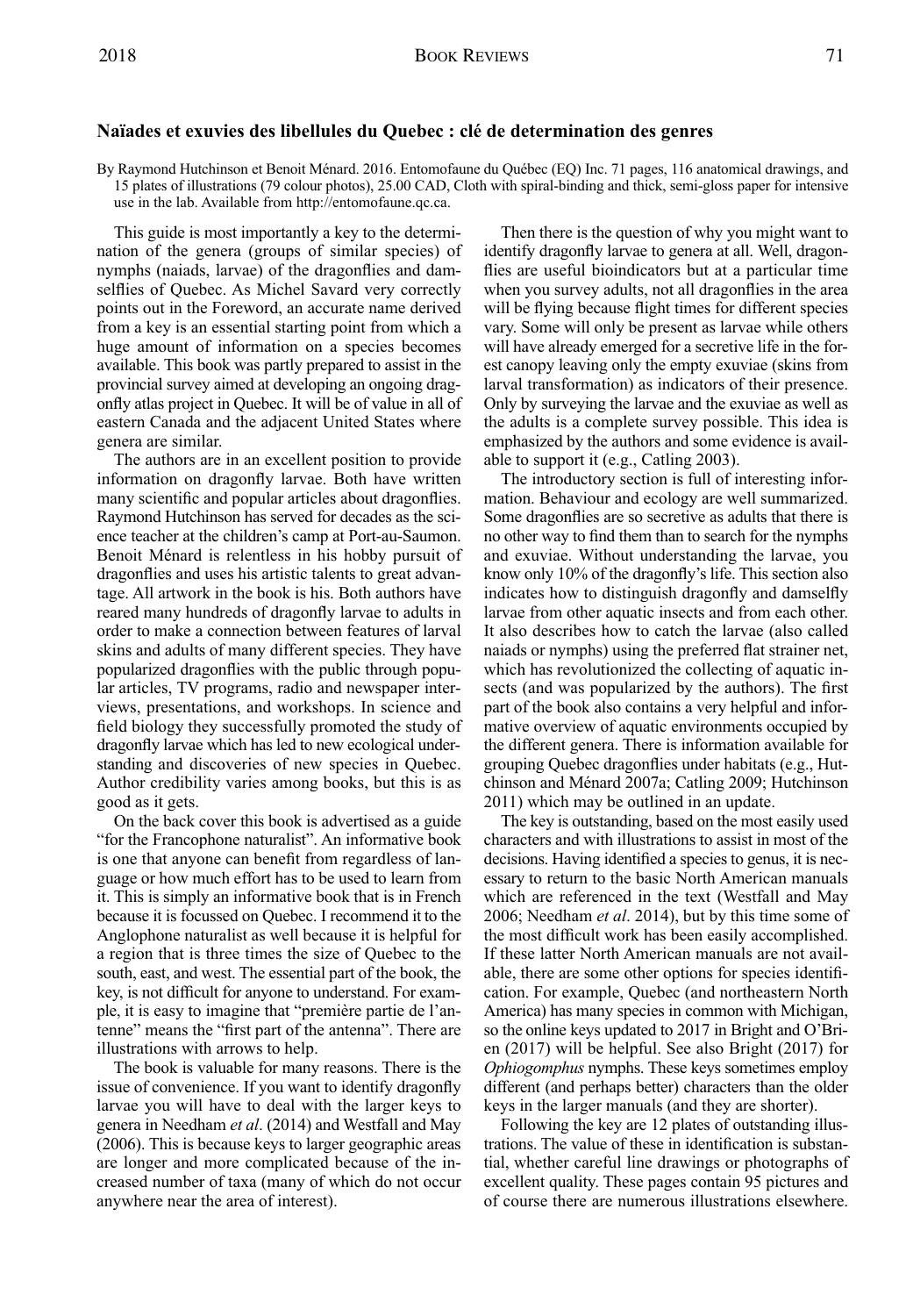## **Naïades et exuvies des libellules du Quebec : clé de determination des genres**

By Raymond Hutchinson et Benoit Ménard. 2016. Entomofaune du Québec (EQ) Inc. 71 pages, 116 anatomical drawings, and 15 plates of illustrations (79 colour photos), 25.00 CAD, Cloth with spiral-binding and thick, semi-gloss paper for intensive use in the lab. Available from [http://entomofaune.qc.ca.](http://entomofaune.qc.ca)

This guide is most importantly a key to the determination of the genera (groups of similar species) of nymphs (naiads, larvae) of the dragonflies and damselflies of Quebec. As Michel Savard very correctly points out in the Foreword, an accurate name derived from a key is an essential starting point from which a huge amount of information on a species becomes available. This book was partly prepared to assist in the provincial survey aimed at developing an ongoing dragonfly atlas project in Quebec. It will be of value in all of eastern Canada and the adjacent United States where genera are similar.

The authors are in an excellent position to provide information on dragonfly larvae. Both have written many scientific and popular articles about dragonflies. Raymond Hutchinson has served for decades as the science teacher at the children's camp at Port-au-Saumon. Benoit Ménard is relentless in his hobby pursuit of dragonflies and uses his artistic talents to great advantage. All artwork in the book is his. Both authors have reared many hundreds of dragonfly larvae to adults in order to make a connection between features of larval skins and adults of many different species. They have popularized dragonflies with the public through popular articles, TV programs, radio and newspaper interviews, presentations, and workshops. In science and field biology they successfully promoted the study of dragonfly larvae which has led to new ecological understanding and discoveries of new species in Quebec. Author credibility varies among books, but this is as good as it gets.

On the back cover this book is advertised as a guide "for the Francophone naturalist". An informative book is one that anyone can benefit from regardless of language or how much effort has to be used to learn from it. This is simply an informative book that is in French because it is focussed on Quebec. I recommend it to the Anglophone naturalist as well because it is helpful for a region that is three times the size of Quebec to the south, east, and west. The essential part of the book, the key, is not difficult for anyone to understand. For example, it is easy to imagine that "première partie de l'antenne" means the "first part of the antenna". There are illustrations with arrows to help.

The book is valuable for many reasons. There is the issue of convenience. If you want to identify dragonfly larvae you will have to deal with the larger keys to genera in Needham *et al.* (2014) and Westfall and May (2006). This is because keys to larger geographic areas are longer and more complicated because of the increased number of taxa (many of which do not occur anywhere near the area of interest).

Then there is the question of why you might want to identify dragonfly larvae to genera at all. Well, dragonflies are useful bioindicators but at a particular time when you survey adults, not all dragonflies in the area will be flying because flight times for different species vary. Some will only be present as larvae while others will have already emerged for a secretive life in the forest canopy leaving only the empty exuviae (skins from larval transformation) as indicators of their presence. only by surveying the larvae and the exuviae as well as the adults is a complete survey possible. This idea is emphasized by the authors and some evidence is available to support it (e.g., Catling 2003).

The introductory section is full of interesting information. Behaviour and ecology are well summarized. Some dragonflies are so secretive as adults that there is no other way to find them than to search for the nymphs and exuviae. Without understanding the larvae, you know only 10% of the dragonfly's life. This section also indicates how to distinguish dragonfly and damselfly larvae from other aquatic insects and from each other. It also describes how to catch the larvae (also called naiads or nymphs) using the preferred flat strainer net, which has revolutionized the collecting of aquatic insects (and was popularized by the authors). The first part of the book also contains a very helpful and informative overview of aquatic environments occupied by the different genera. There is information available for grouping Quebec dragonflies under habitats (e.g., Hutchinson and Ménard 2007a; Catling 2009; Hutchinson 2011) which may be outlined in an update.

The key is outstanding, based on the most easily used characters and with illustrations to assist in most of the decisions. Having identified a species to genus, it is necessary to return to the basic North American manuals which are referenced in the text (Westfall and May 2006; needham *et al*. 2014), but by this time some of the most difficult work has been easily accomplished. If these latter North American manuals are not available, there are some other options for species identification. For example, Quebec (and northeastern North America) has many species in common with Michigan, so the online keys updated to  $2017$  in Bright and O'Brien (2017) will be helpful. See also Bright (2017) for *Ophiogomphus* nymphs. These keys sometimes employ different (and perhaps better) characters than the older keys in the larger manuals (and they are shorter).

Following the key are 12 plates of outstanding illustrations. The value of these in identification is substantial, whether careful line drawings or photographs of excellent quality. These pages contain 95 pictures and of course there are numerous illustrations elsewhere.